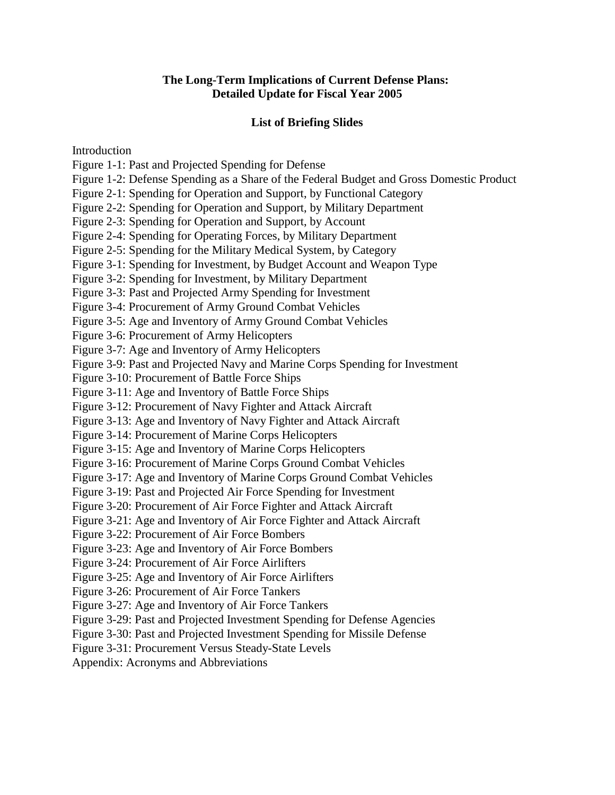## **The Long-Term Implications of Current Defense Plans: Detailed Update for Fiscal Year 2005**

## **List of Briefing Slides**

Introduction

Figure 1-1: Past and Projected Spending for Defense

Figure 1-2: Defense Spending as a Share of the Federal Budget and Gross Domestic Product

Figure 2-1: Spending for Operation and Support, by Functional Category

Figure 2-2: Spending for Operation and Support, by Military Department

Figure 2-3: Spending for Operation and Support, by Account

Figure 2-4: Spending for Operating Forces, by Military Department

Figure 2-5: Spending for the Military Medical System, by Category

Figure 3-1: Spending for Investment, by Budget Account and Weapon Type

Figure 3-2: Spending for Investment, by Military Department

Figure 3-3: Past and Projected Army Spending for Investment

Figure 3-4: Procurement of Army Ground Combat Vehicles

Figure 3-5: Age and Inventory of Army Ground Combat Vehicles

Figure 3-6: Procurement of Army Helicopters

Figure 3-7: Age and Inventory of Army Helicopters

Figure 3-9: Past and Projected Navy and Marine Corps Spending for Investment

Figure 3-10: Procurement of Battle Force Ships

Figure 3-11: Age and Inventory of Battle Force Ships

Figure 3-12: Procurement of Navy Fighter and Attack Aircraft

Figure 3-13: Age and Inventory of Navy Fighter and Attack Aircraft

Figure 3-14: Procurement of Marine Corps Helicopters

Figure 3-15: Age and Inventory of Marine Corps Helicopters

Figure 3-16: Procurement of Marine Corps Ground Combat Vehicles

Figure 3-17: Age and Inventory of Marine Corps Ground Combat Vehicles

Figure 3-19: Past and Projected Air Force Spending for Investment

Figure 3-20: Procurement of Air Force Fighter and Attack Aircraft

Figure 3-21: Age and Inventory of Air Force Fighter and Attack Aircraft

Figure 3-22: Procurement of Air Force Bombers

Figure 3-23: Age and Inventory of Air Force Bombers

Figure 3-24: Procurement of Air Force Airlifters

Figure 3-25: Age and Inventory of Air Force Airlifters

Figure 3-26: Procurement of Air Force Tankers

Figure 3-27: Age and Inventory of Air Force Tankers

Figure 3-29: Past and Projected Investment Spending for Defense Agencies

Figure 3-30: Past and Projected Investment Spending for Missile Defense

Figure 3-31: Procurement Versus Steady-State Levels

Appendix: Acronyms and Abbreviations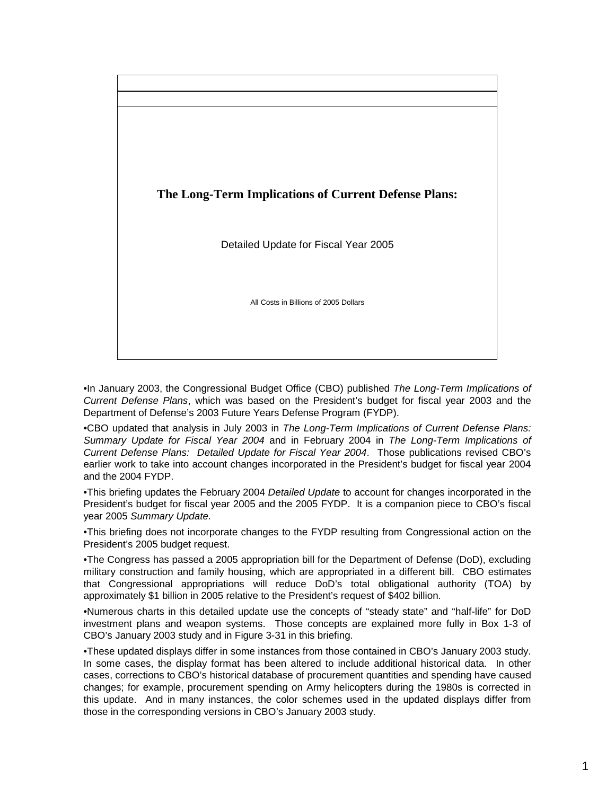

•In January 2003, the Congressional Budget Office (CBO) published *The Long-Term Implications of Current Defense Plans*, which was based on the President's budget for fiscal year 2003 and the Department of Defense's 2003 Future Years Defense Program (FYDP).

•CBO updated that analysis in July 2003 in *The Long-Term Implications of Current Defense Plans: Summary Update for Fiscal Year 2004* and in February 2004 in *The Long-Term Implications of Current Defense Plans: Detailed Update for Fiscal Year 2004*. Those publications revised CBO's earlier work to take into account changes incorporated in the President's budget for fiscal year 2004 and the 2004 FYDP.

•This briefing updates the February 2004 *Detailed Update* to account for changes incorporated in the President's budget for fiscal year 2005 and the 2005 FYDP. It is a companion piece to CBO's fiscal year 2005 *Summary Update.*

•This briefing does not incorporate changes to the FYDP resulting from Congressional action on the President's 2005 budget request.

•The Congress has passed a 2005 appropriation bill for the Department of Defense (DoD), excluding military construction and family housing, which are appropriated in a different bill. CBO estimates that Congressional appropriations will reduce DoD's total obligational authority (TOA) by approximately \$1 billion in 2005 relative to the President's request of \$402 billion.

•Numerous charts in this detailed update use the concepts of "steady state" and "half-life" for DoD investment plans and weapon systems. Those concepts are explained more fully in Box 1-3 of CBO's January 2003 study and in Figure 3-31 in this briefing.

•These updated displays differ in some instances from those contained in CBO's January 2003 study. In some cases, the display format has been altered to include additional historical data. In other cases, corrections to CBO's historical database of procurement quantities and spending have caused changes; for example, procurement spending on Army helicopters during the 1980s is corrected in this update. And in many instances, the color schemes used in the updated displays differ from those in the corresponding versions in CBO's January 2003 study.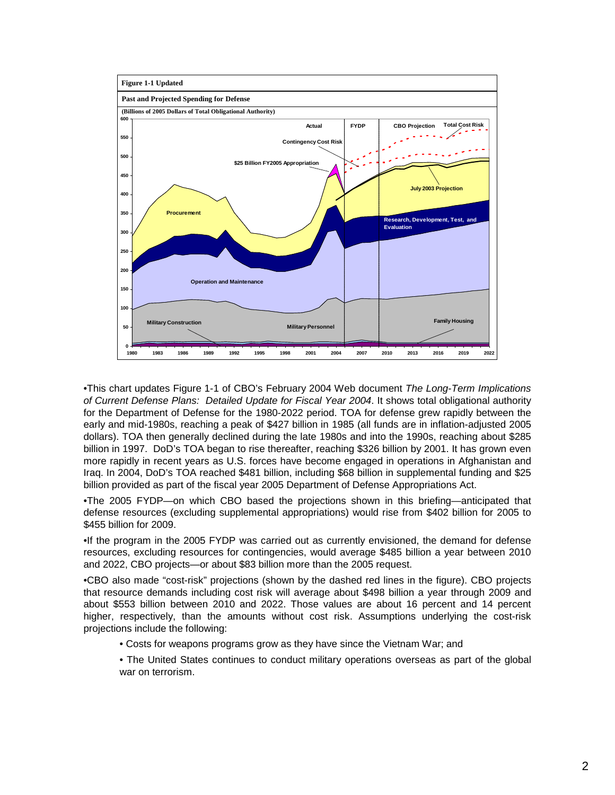

•This chart updates Figure 1-1 of CBO's February 2004 Web document *The Long-Term Implications of Current Defense Plans: Detailed Update for Fiscal Year 2004*. It shows total obligational authority for the Department of Defense for the 1980-2022 period. TOA for defense grew rapidly between the early and mid-1980s, reaching a peak of \$427 billion in 1985 (all funds are in inflation-adjusted 2005 dollars). TOA then generally declined during the late 1980s and into the 1990s, reaching about \$285 billion in 1997. DoD's TOA began to rise thereafter, reaching \$326 billion by 2001. It has grown even more rapidly in recent years as U.S. forces have become engaged in operations in Afghanistan and Iraq. In 2004, DoD's TOA reached \$481 billion, including \$68 billion in supplemental funding and \$25 billion provided as part of the fiscal year 2005 Department of Defense Appropriations Act.

•The 2005 FYDP—on which CBO based the projections shown in this briefing—anticipated that defense resources (excluding supplemental appropriations) would rise from \$402 billion for 2005 to \$455 billion for 2009.

•If the program in the 2005 FYDP was carried out as currently envisioned, the demand for defense resources, excluding resources for contingencies, would average \$485 billion a year between 2010 and 2022, CBO projects—or about \$83 billion more than the 2005 request.

•CBO also made "cost-risk" projections (shown by the dashed red lines in the figure). CBO projects that resource demands including cost risk will average about \$498 billion a year through 2009 and about \$553 billion between 2010 and 2022. Those values are about 16 percent and 14 percent higher, respectively, than the amounts without cost risk. Assumptions underlying the cost-risk projections include the following:

- Costs for weapons programs grow as they have since the Vietnam War; and
- The United States continues to conduct military operations overseas as part of the global war on terrorism.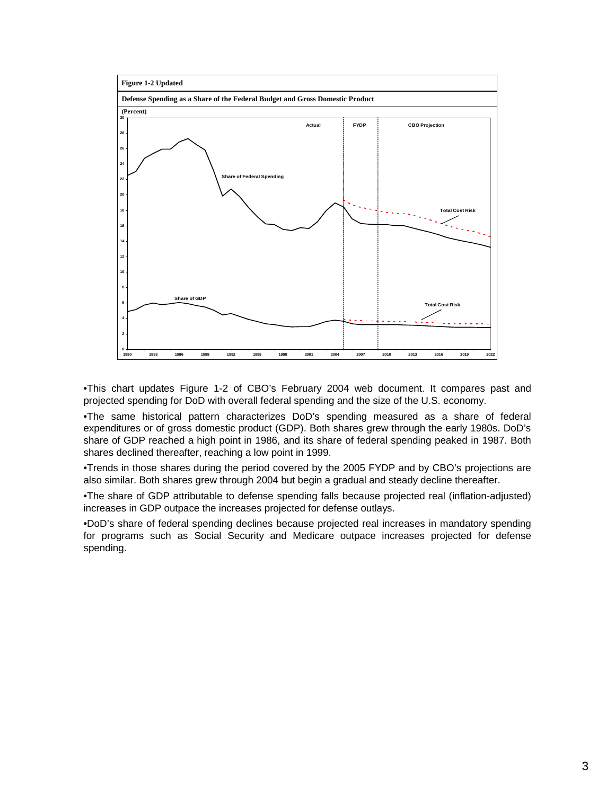

•This chart updates Figure 1-2 of CBO's February 2004 web document. It compares past and projected spending for DoD with overall federal spending and the size of the U.S. economy.

•The same historical pattern characterizes DoD's spending measured as a share of federal expenditures or of gross domestic product (GDP). Both shares grew through the early 1980s. DoD's share of GDP reached a high point in 1986, and its share of federal spending peaked in 1987. Both shares declined thereafter, reaching a low point in 1999.

•Trends in those shares during the period covered by the 2005 FYDP and by CBO's projections are also similar. Both shares grew through 2004 but begin a gradual and steady decline thereafter.

•The share of GDP attributable to defense spending falls because projected real (inflation-adjusted) increases in GDP outpace the increases projected for defense outlays.

•DoD's share of federal spending declines because projected real increases in mandatory spending for programs such as Social Security and Medicare outpace increases projected for defense spending.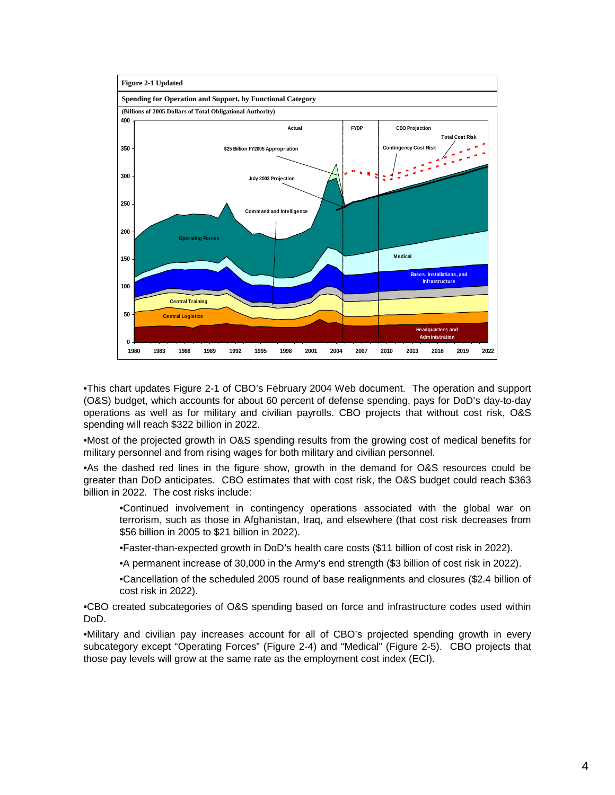

•This chart updates Figure 2-1 of CBO's February 2004 Web document. The operation and support (O&S) budget, which accounts for about 60 percent of defense spending, pays for DoD's day-to-day operations as well as for military and civilian payrolls. CBO projects that without cost risk, O&S spending will reach \$322 billion in 2022.

•Most of the projected growth in O&S spending results from the growing cost of medical benefits for military personnel and from rising wages for both military and civilian personnel.

•As the dashed red lines in the figure show, growth in the demand for O&S resources could be greater than DoD anticipates. CBO estimates that with cost risk, the O&S budget could reach \$363 billion in 2022. The cost risks include:

•Continued involvement in contingency operations associated with the global war on terrorism, such as those in Afghanistan, Iraq, and elsewhere (that cost risk decreases from \$56 billion in 2005 to \$21 billion in 2022).

•Faster-than-expected growth in DoD's health care costs (\$11 billion of cost risk in 2022).

•A permanent increase of 30,000 in the Army's end strength (\$3 billion of cost risk in 2022).

•Cancellation of the scheduled 2005 round of base realignments and closures (\$2.4 billion of cost risk in 2022).

•CBO created subcategories of O&S spending based on force and infrastructure codes used within DoD.

•Military and civilian pay increases account for all of CBO's projected spending growth in every subcategory except "Operating Forces" (Figure 2-4) and "Medical" (Figure 2-5). CBO projects that those pay levels will grow at the same rate as the employment cost index (ECI).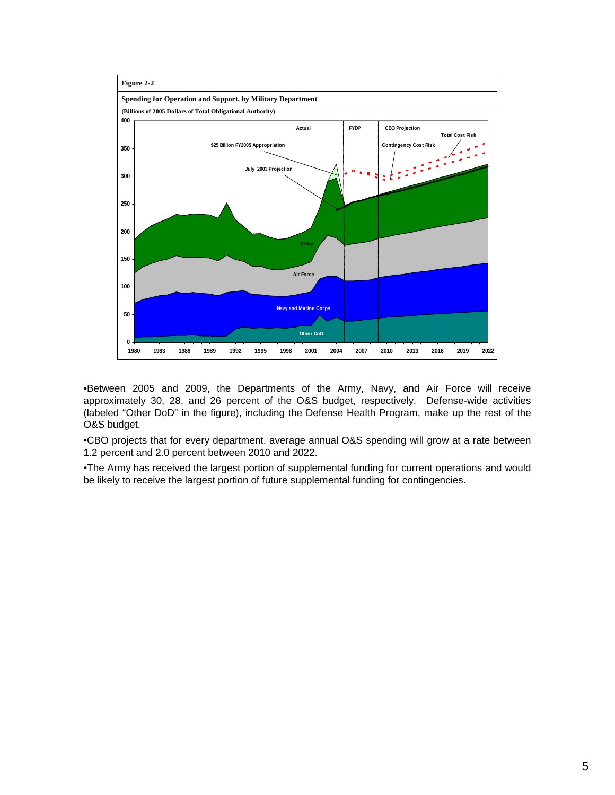

•Between 2005 and 2009, the Departments of the Army, Navy, and Air Force will receive approximately 30, 28, and 26 percent of the O&S budget, respectively. Defense-wide activities (labeled "Other DoD" in the figure), including the Defense Health Program, make up the rest of the O&S budget.

•CBO projects that for every department, average annual O&S spending will grow at a rate between 1.2 percent and 2.0 percent between 2010 and 2022.

•The Army has received the largest portion of supplemental funding for current operations and would be likely to receive the largest portion of future supplemental funding for contingencies.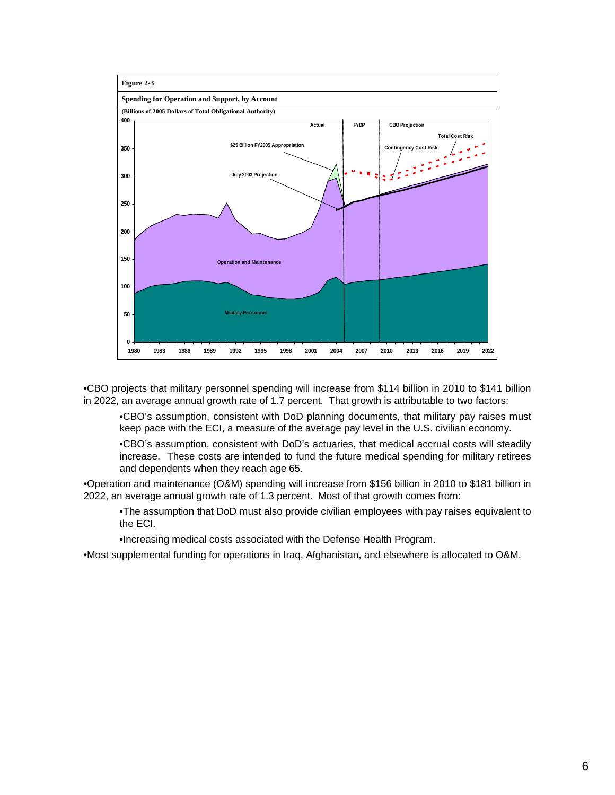

•CBO projects that military personnel spending will increase from \$114 billion in 2010 to \$141 billion in 2022, an average annual growth rate of 1.7 percent. That growth is attributable to two factors:

•CBO's assumption, consistent with DoD planning documents, that military pay raises must keep pace with the ECI, a measure of the average pay level in the U.S. civilian economy.

•CBO's assumption, consistent with DoD's actuaries, that medical accrual costs will steadily increase. These costs are intended to fund the future medical spending for military retirees and dependents when they reach age 65.

•Operation and maintenance (O&M) spending will increase from \$156 billion in 2010 to \$181 billion in 2022, an average annual growth rate of 1.3 percent. Most of that growth comes from:

•The assumption that DoD must also provide civilian employees with pay raises equivalent to the ECI.

•Increasing medical costs associated with the Defense Health Program.

•Most supplemental funding for operations in Iraq, Afghanistan, and elsewhere is allocated to O&M.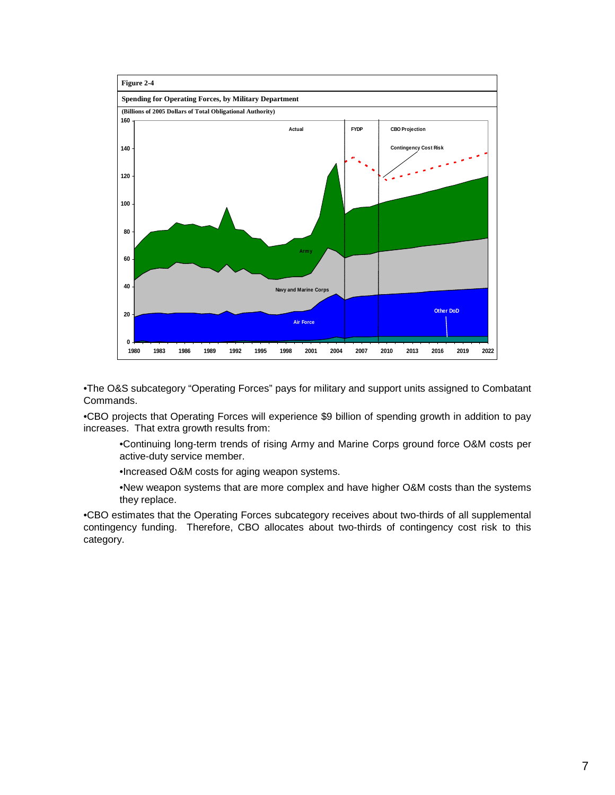

•The O&S subcategory "Operating Forces" pays for military and support units assigned to Combatant Commands.

•CBO projects that Operating Forces will experience \$9 billion of spending growth in addition to pay increases. That extra growth results from:

- •Continuing long-term trends of rising Army and Marine Corps ground force O&M costs per active-duty service member.
- •Increased O&M costs for aging weapon systems.
- •New weapon systems that are more complex and have higher O&M costs than the systems they replace.

•CBO estimates that the Operating Forces subcategory receives about two-thirds of all supplemental contingency funding. Therefore, CBO allocates about two-thirds of contingency cost risk to this category.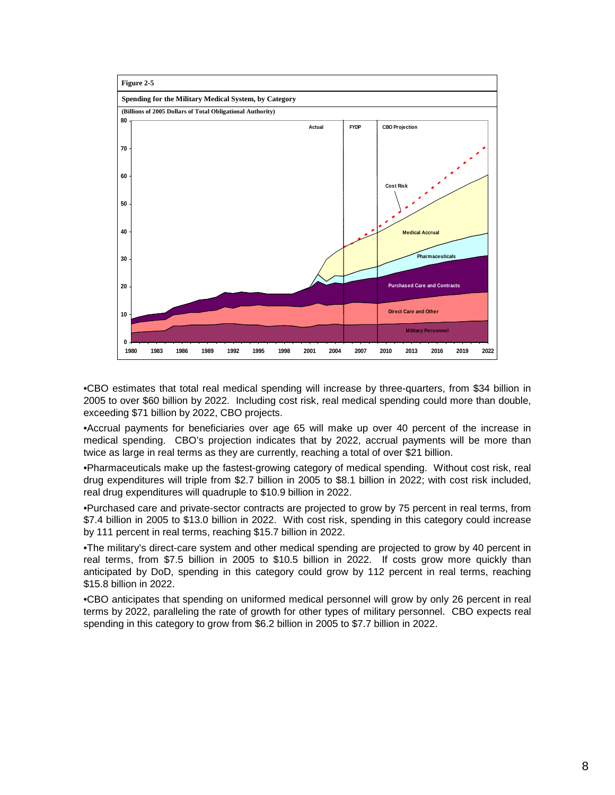

•CBO estimates that total real medical spending will increase by three-quarters, from \$34 billion in 2005 to over \$60 billion by 2022. Including cost risk, real medical spending could more than double, exceeding \$71 billion by 2022, CBO projects.

•Accrual payments for beneficiaries over age 65 will make up over 40 percent of the increase in medical spending. CBO's projection indicates that by 2022, accrual payments will be more than twice as large in real terms as they are currently, reaching a total of over \$21 billion.

•Pharmaceuticals make up the fastest-growing category of medical spending. Without cost risk, real drug expenditures will triple from \$2.7 billion in 2005 to \$8.1 billion in 2022; with cost risk included, real drug expenditures will quadruple to \$10.9 billion in 2022.

•Purchased care and private-sector contracts are projected to grow by 75 percent in real terms, from \$7.4 billion in 2005 to \$13.0 billion in 2022. With cost risk, spending in this category could increase by 111 percent in real terms, reaching \$15.7 billion in 2022.

•The military's direct-care system and other medical spending are projected to grow by 40 percent in real terms, from \$7.5 billion in 2005 to \$10.5 billion in 2022. If costs grow more quickly than anticipated by DoD, spending in this category could grow by 112 percent in real terms, reaching \$15.8 billion in 2022.

•CBO anticipates that spending on uniformed medical personnel will grow by only 26 percent in real terms by 2022, paralleling the rate of growth for other types of military personnel. CBO expects real spending in this category to grow from \$6.2 billion in 2005 to \$7.7 billion in 2022.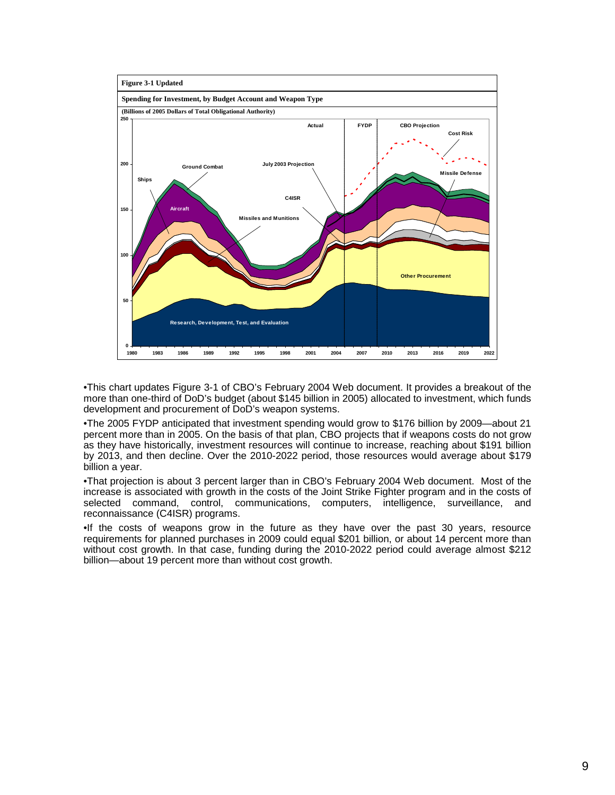

•This chart updates Figure 3-1 of CBO's February 2004 Web document. It provides a breakout of the more than one-third of DoD's budget (about \$145 billion in 2005) allocated to investment, which funds development and procurement of DoD's weapon systems.

•The 2005 FYDP anticipated that investment spending would grow to \$176 billion by 2009—about 21 percent more than in 2005. On the basis of that plan, CBO projects that if weapons costs do not grow as they have historically, investment resources will continue to increase, reaching about \$191 billion by 2013, and then decline. Over the 2010-2022 period, those resources would average about \$179 billion a year.

•That projection is about 3 percent larger than in CBO's February 2004 Web document. Most of the increase is associated with growth in the costs of the Joint Strike Fighter program and in the costs of selected command, control, communications, computers, intelligence, surveillance, and reconnaissance (C4ISR) programs.

•If the costs of weapons grow in the future as they have over the past 30 years, resource requirements for planned purchases in 2009 could equal \$201 billion, or about 14 percent more than without cost growth. In that case, funding during the 2010-2022 period could average almost \$212 billion—about 19 percent more than without cost growth.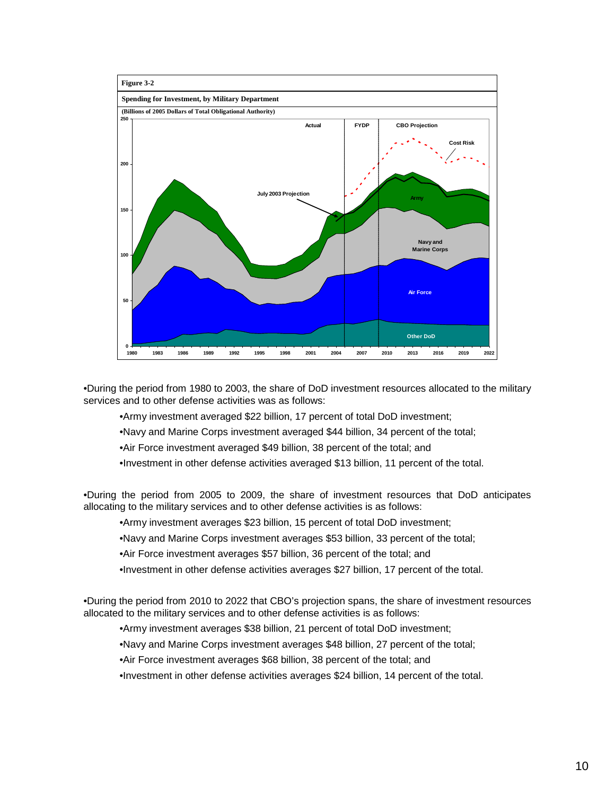

•During the period from 1980 to 2003, the share of DoD investment resources allocated to the military services and to other defense activities was as follows:

•Army investment averaged \$22 billion, 17 percent of total DoD investment;

•Navy and Marine Corps investment averaged \$44 billion, 34 percent of the total;

•Air Force investment averaged \$49 billion, 38 percent of the total; and

•Investment in other defense activities averaged \$13 billion, 11 percent of the total.

•During the period from 2005 to 2009, the share of investment resources that DoD anticipates allocating to the military services and to other defense activities is as follows:

•Army investment averages \$23 billion, 15 percent of total DoD investment;

•Navy and Marine Corps investment averages \$53 billion, 33 percent of the total;

•Air Force investment averages \$57 billion, 36 percent of the total; and

•Investment in other defense activities averages \$27 billion, 17 percent of the total.

•During the period from 2010 to 2022 that CBO's projection spans, the share of investment resources allocated to the military services and to other defense activities is as follows:

•Army investment averages \$38 billion, 21 percent of total DoD investment;

•Navy and Marine Corps investment averages \$48 billion, 27 percent of the total;

•Air Force investment averages \$68 billion, 38 percent of the total; and

•Investment in other defense activities averages \$24 billion, 14 percent of the total.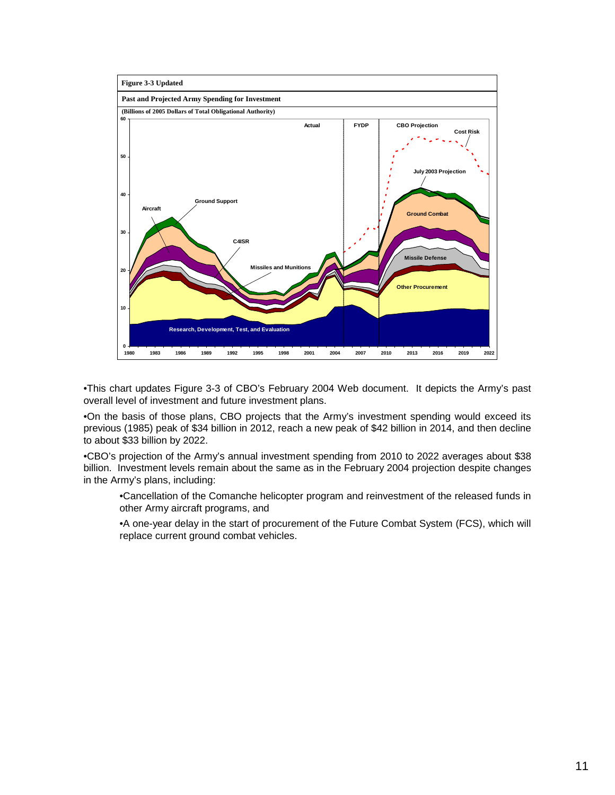

•This chart updates Figure 3-3 of CBO's February 2004 Web document. It depicts the Army's past overall level of investment and future investment plans.

•On the basis of those plans, CBO projects that the Army's investment spending would exceed its previous (1985) peak of \$34 billion in 2012, reach a new peak of \$42 billion in 2014, and then decline to about \$33 billion by 2022.

•CBO's projection of the Army's annual investment spending from 2010 to 2022 averages about \$38 billion. Investment levels remain about the same as in the February 2004 projection despite changes in the Army's plans, including:

•Cancellation of the Comanche helicopter program and reinvestment of the released funds in other Army aircraft programs, and

•A one-year delay in the start of procurement of the Future Combat System (FCS), which will replace current ground combat vehicles.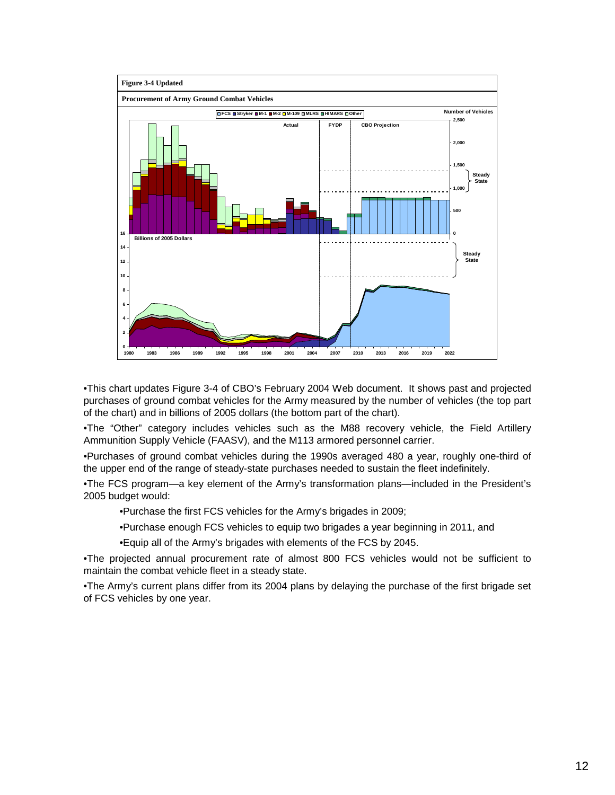

•This chart updates Figure 3-4 of CBO's February 2004 Web document. It shows past and projected purchases of ground combat vehicles for the Army measured by the number of vehicles (the top part of the chart) and in billions of 2005 dollars (the bottom part of the chart).

•The "Other" category includes vehicles such as the M88 recovery vehicle, the Field Artillery Ammunition Supply Vehicle (FAASV), and the M113 armored personnel carrier.

•Purchases of ground combat vehicles during the 1990s averaged 480 a year, roughly one-third of the upper end of the range of steady-state purchases needed to sustain the fleet indefinitely.

•The FCS program—a key element of the Army's transformation plans—included in the President's 2005 budget would:

•Purchase the first FCS vehicles for the Army's brigades in 2009;

•Purchase enough FCS vehicles to equip two brigades a year beginning in 2011, and

•Equip all of the Army's brigades with elements of the FCS by 2045.

•The projected annual procurement rate of almost 800 FCS vehicles would not be sufficient to maintain the combat vehicle fleet in a steady state.

•The Army's current plans differ from its 2004 plans by delaying the purchase of the first brigade set of FCS vehicles by one year.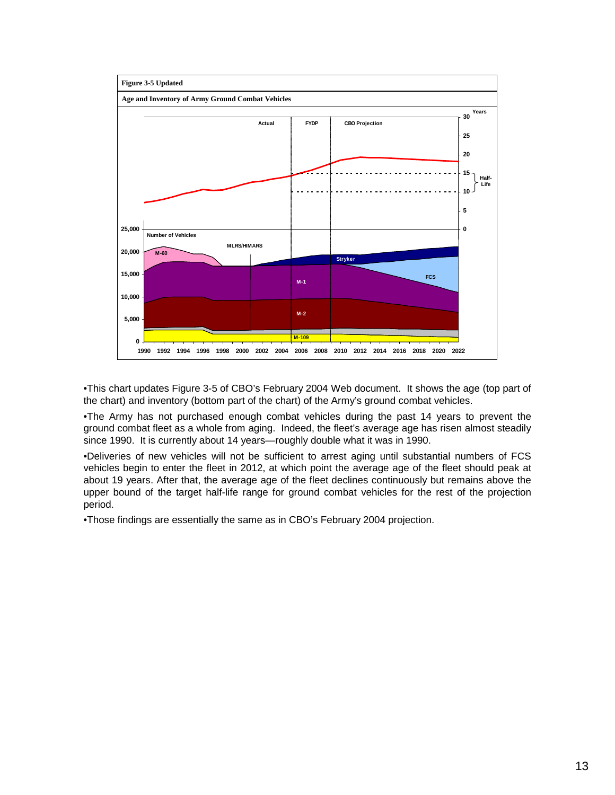

•This chart updates Figure 3-5 of CBO's February 2004 Web document. It shows the age (top part of the chart) and inventory (bottom part of the chart) of the Army's ground combat vehicles.

•The Army has not purchased enough combat vehicles during the past 14 years to prevent the ground combat fleet as a whole from aging. Indeed, the fleet's average age has risen almost steadily since 1990. It is currently about 14 years—roughly double what it was in 1990.

•Deliveries of new vehicles will not be sufficient to arrest aging until substantial numbers of FCS vehicles begin to enter the fleet in 2012, at which point the average age of the fleet should peak at about 19 years. After that, the average age of the fleet declines continuously but remains above the upper bound of the target half-life range for ground combat vehicles for the rest of the projection period.

•Those findings are essentially the same as in CBO's February 2004 projection.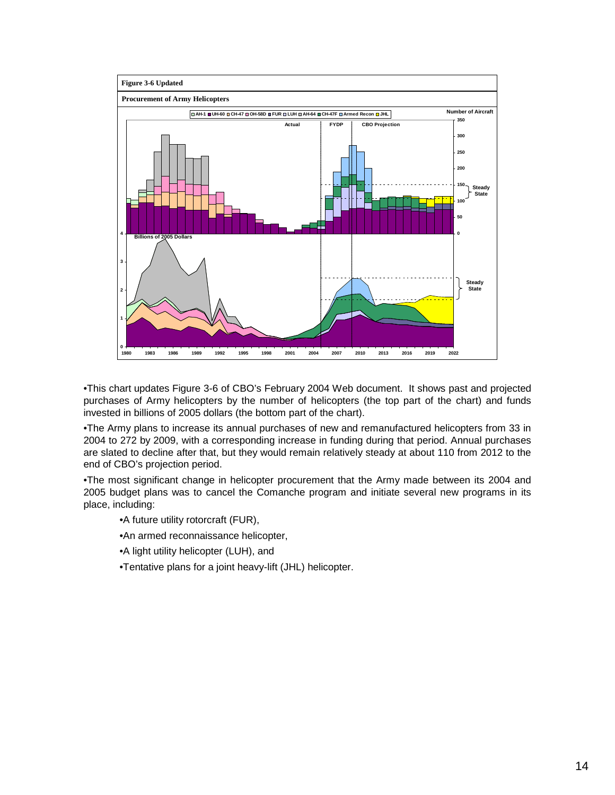

•This chart updates Figure 3-6 of CBO's February 2004 Web document. It shows past and projected purchases of Army helicopters by the number of helicopters (the top part of the chart) and funds invested in billions of 2005 dollars (the bottom part of the chart).

•The Army plans to increase its annual purchases of new and remanufactured helicopters from 33 in 2004 to 272 by 2009, with a corresponding increase in funding during that period. Annual purchases are slated to decline after that, but they would remain relatively steady at about 110 from 2012 to the end of CBO's projection period.

•The most significant change in helicopter procurement that the Army made between its 2004 and 2005 budget plans was to cancel the Comanche program and initiate several new programs in its place, including:

•A future utility rotorcraft (FUR),

•An armed reconnaissance helicopter,

•A light utility helicopter (LUH), and

•Tentative plans for a joint heavy-lift (JHL) helicopter.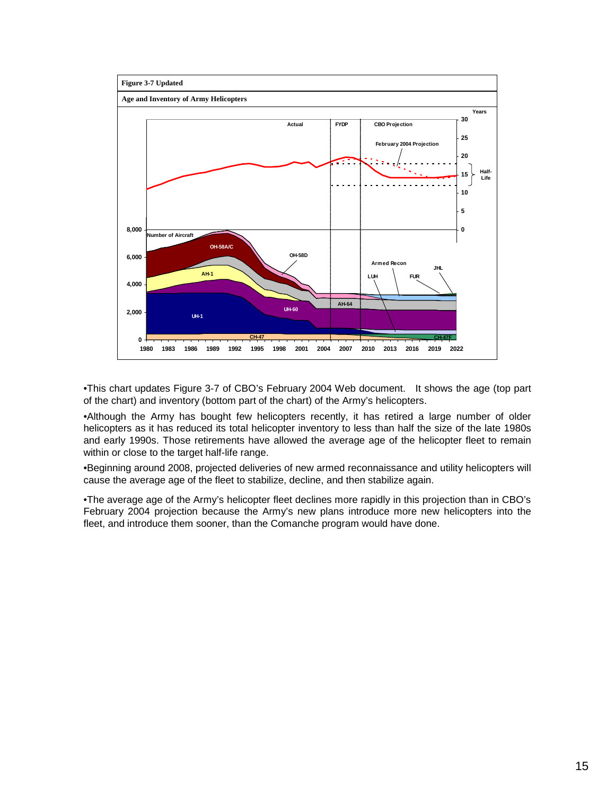

•This chart updates Figure 3-7 of CBO's February 2004 Web document. It shows the age (top part of the chart) and inventory (bottom part of the chart) of the Army's helicopters.

•Although the Army has bought few helicopters recently, it has retired a large number of older helicopters as it has reduced its total helicopter inventory to less than half the size of the late 1980s and early 1990s. Those retirements have allowed the average age of the helicopter fleet to remain within or close to the target half-life range.

•Beginning around 2008, projected deliveries of new armed reconnaissance and utility helicopters will cause the average age of the fleet to stabilize, decline, and then stabilize again.

•The average age of the Army's helicopter fleet declines more rapidly in this projection than in CBO's February 2004 projection because the Army's new plans introduce more new helicopters into the fleet, and introduce them sooner, than the Comanche program would have done.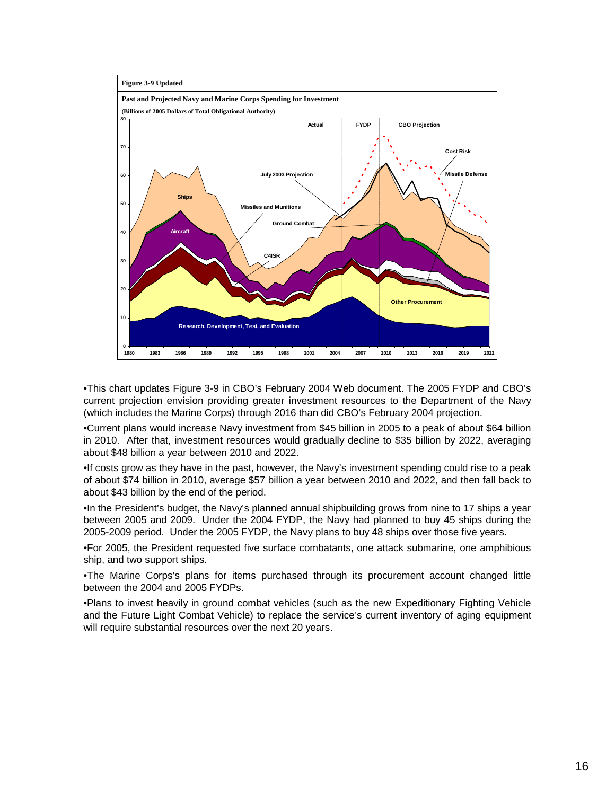

•This chart updates Figure 3-9 in CBO's February 2004 Web document. The 2005 FYDP and CBO's current projection envision providing greater investment resources to the Department of the Navy (which includes the Marine Corps) through 2016 than did CBO's February 2004 projection.

•Current plans would increase Navy investment from \$45 billion in 2005 to a peak of about \$64 billion in 2010. After that, investment resources would gradually decline to \$35 billion by 2022, averaging about \$48 billion a year between 2010 and 2022.

•If costs grow as they have in the past, however, the Navy's investment spending could rise to a peak of about \$74 billion in 2010, average \$57 billion a year between 2010 and 2022, and then fall back to about \$43 billion by the end of the period.

•In the President's budget, the Navy's planned annual shipbuilding grows from nine to 17 ships a year between 2005 and 2009. Under the 2004 FYDP, the Navy had planned to buy 45 ships during the 2005-2009 period. Under the 2005 FYDP, the Navy plans to buy 48 ships over those five years.

•For 2005, the President requested five surface combatants, one attack submarine, one amphibious ship, and two support ships.

•The Marine Corps's plans for items purchased through its procurement account changed little between the 2004 and 2005 FYDPs.

•Plans to invest heavily in ground combat vehicles (such as the new Expeditionary Fighting Vehicle and the Future Light Combat Vehicle) to replace the service's current inventory of aging equipment will require substantial resources over the next 20 years.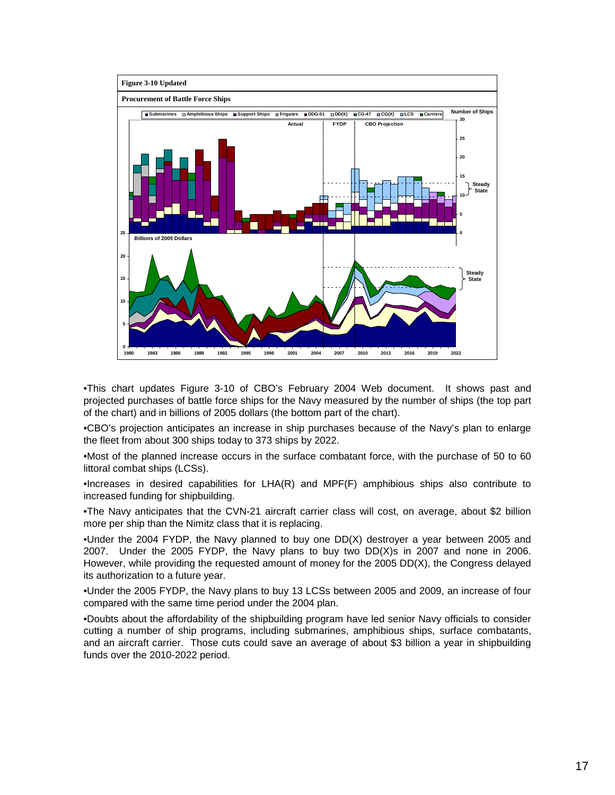

•This chart updates Figure 3-10 of CBO's February 2004 Web document. It shows past and projected purchases of battle force ships for the Navy measured by the number of ships (the top part of the chart) and in billions of 2005 dollars (the bottom part of the chart).

•CBO's projection anticipates an increase in ship purchases because of the Navy's plan to enlarge the fleet from about 300 ships today to 373 ships by 2022.

•Most of the planned increase occurs in the surface combatant force, with the purchase of 50 to 60 littoral combat ships (LCSs).

•Increases in desired capabilities for LHA(R) and MPF(F) amphibious ships also contribute to increased funding for shipbuilding.

•The Navy anticipates that the CVN-21 aircraft carrier class will cost, on average, about \$2 billion more per ship than the Nimitz class that it is replacing.

•Under the 2004 FYDP, the Navy planned to buy one DD(X) destroyer a year between 2005 and 2007. Under the 2005 FYDP, the Navy plans to buy two DD(X)s in 2007 and none in 2006. However, while providing the requested amount of money for the 2005 DD(X), the Congress delayed its authorization to a future year.

•Under the 2005 FYDP, the Navy plans to buy 13 LCSs between 2005 and 2009, an increase of four compared with the same time period under the 2004 plan.

•Doubts about the affordability of the shipbuilding program have led senior Navy officials to consider cutting a number of ship programs, including submarines, amphibious ships, surface combatants, and an aircraft carrier. Those cuts could save an average of about \$3 billion a year in shipbuilding funds over the 2010-2022 period.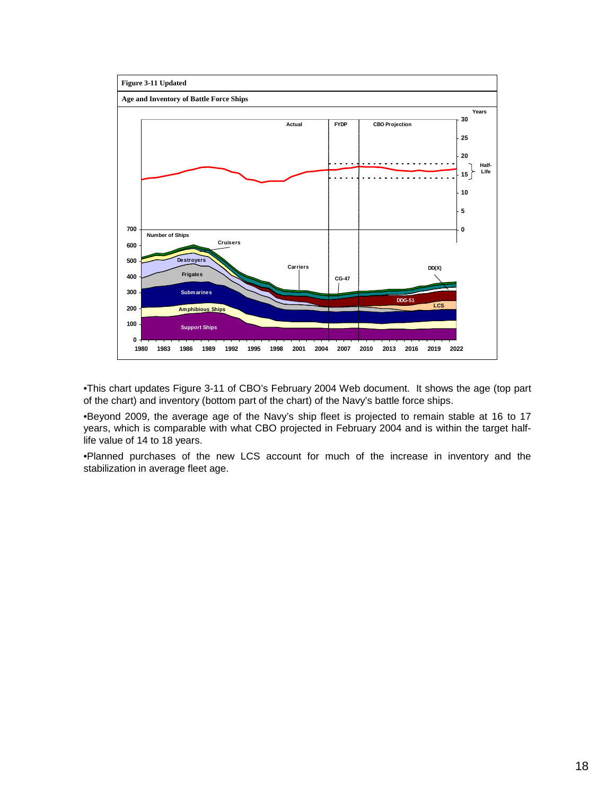

•This chart updates Figure 3-11 of CBO's February 2004 Web document. It shows the age (top part of the chart) and inventory (bottom part of the chart) of the Navy's battle force ships.

•Beyond 2009, the average age of the Navy's ship fleet is projected to remain stable at 16 to 17 years, which is comparable with what CBO projected in February 2004 and is within the target halflife value of 14 to 18 years.

•Planned purchases of the new LCS account for much of the increase in inventory and the stabilization in average fleet age.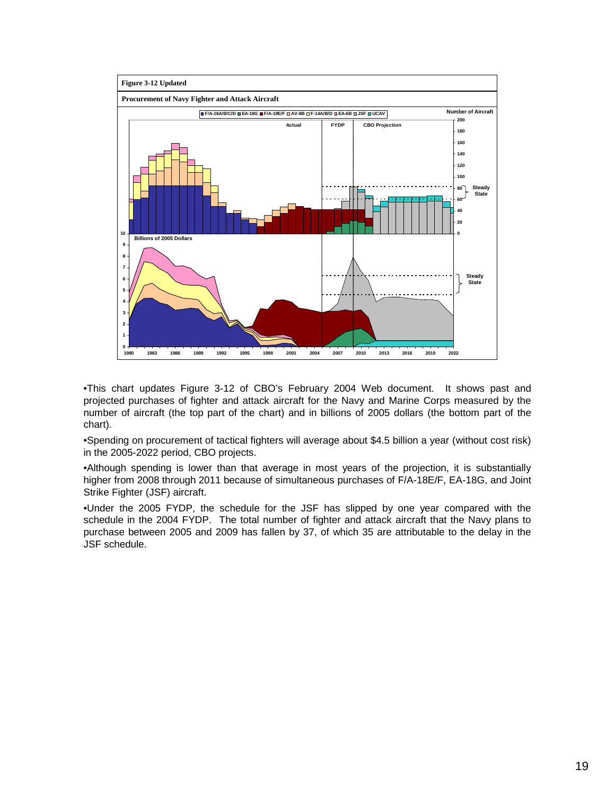

•This chart updates Figure 3-12 of CBO's February 2004 Web document. It shows past and projected purchases of fighter and attack aircraft for the Navy and Marine Corps measured by the number of aircraft (the top part of the chart) and in billions of 2005 dollars (the bottom part of the chart).

•Spending on procurement of tactical fighters will average about \$4.5 billion a year (without cost risk) in the 2005-2022 period, CBO projects.

•Although spending is lower than that average in most years of the projection, it is substantially higher from 2008 through 2011 because of simultaneous purchases of F/A-18E/F, EA-18G, and Joint Strike Fighter (JSF) aircraft.

•Under the 2005 FYDP, the schedule for the JSF has slipped by one year compared with the schedule in the 2004 FYDP. The total number of fighter and attack aircraft that the Navy plans to purchase between 2005 and 2009 has fallen by 37, of which 35 are attributable to the delay in the JSF schedule.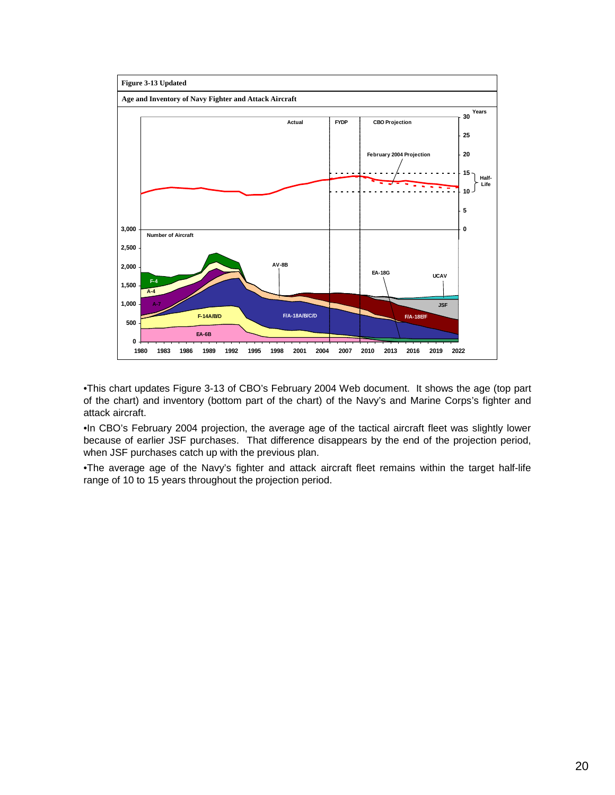

•This chart updates Figure 3-13 of CBO's February 2004 Web document. It shows the age (top part of the chart) and inventory (bottom part of the chart) of the Navy's and Marine Corps's fighter and attack aircraft.

•In CBO's February 2004 projection, the average age of the tactical aircraft fleet was slightly lower because of earlier JSF purchases. That difference disappears by the end of the projection period, when JSF purchases catch up with the previous plan.

•The average age of the Navy's fighter and attack aircraft fleet remains within the target half-life range of 10 to 15 years throughout the projection period.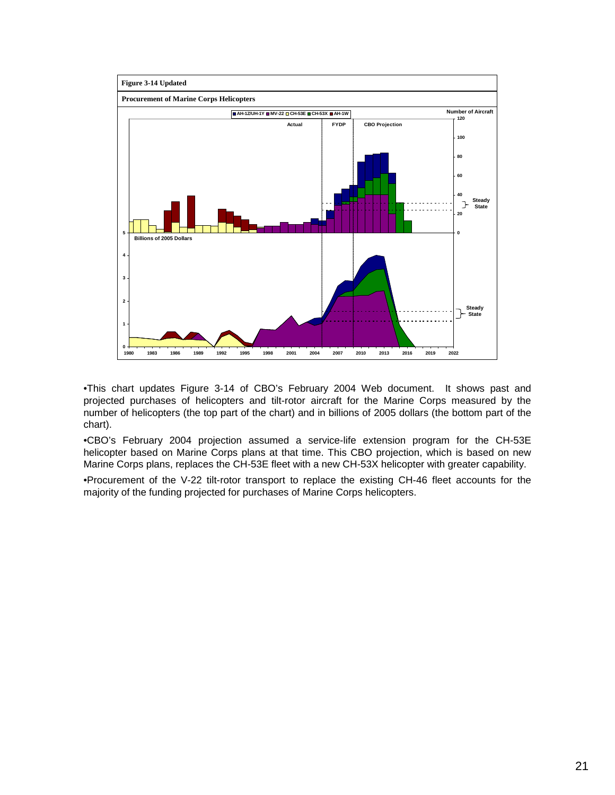

•This chart updates Figure 3-14 of CBO's February 2004 Web document. It shows past and projected purchases of helicopters and tilt-rotor aircraft for the Marine Corps measured by the number of helicopters (the top part of the chart) and in billions of 2005 dollars (the bottom part of the chart).

•CBO's February 2004 projection assumed a service-life extension program for the CH-53E helicopter based on Marine Corps plans at that time. This CBO projection, which is based on new Marine Corps plans, replaces the CH-53E fleet with a new CH-53X helicopter with greater capability.

•Procurement of the V-22 tilt-rotor transport to replace the existing CH-46 fleet accounts for the majority of the funding projected for purchases of Marine Corps helicopters.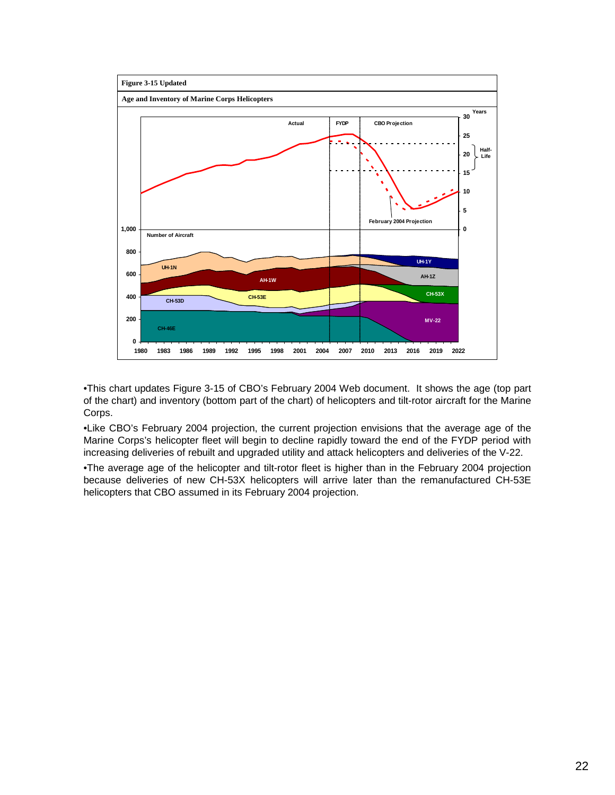

•This chart updates Figure 3-15 of CBO's February 2004 Web document. It shows the age (top part of the chart) and inventory (bottom part of the chart) of helicopters and tilt-rotor aircraft for the Marine Corps.

•Like CBO's February 2004 projection, the current projection envisions that the average age of the Marine Corps's helicopter fleet will begin to decline rapidly toward the end of the FYDP period with increasing deliveries of rebuilt and upgraded utility and attack helicopters and deliveries of the V-22.

•The average age of the helicopter and tilt-rotor fleet is higher than in the February 2004 projection because deliveries of new CH-53X helicopters will arrive later than the remanufactured CH-53E helicopters that CBO assumed in its February 2004 projection.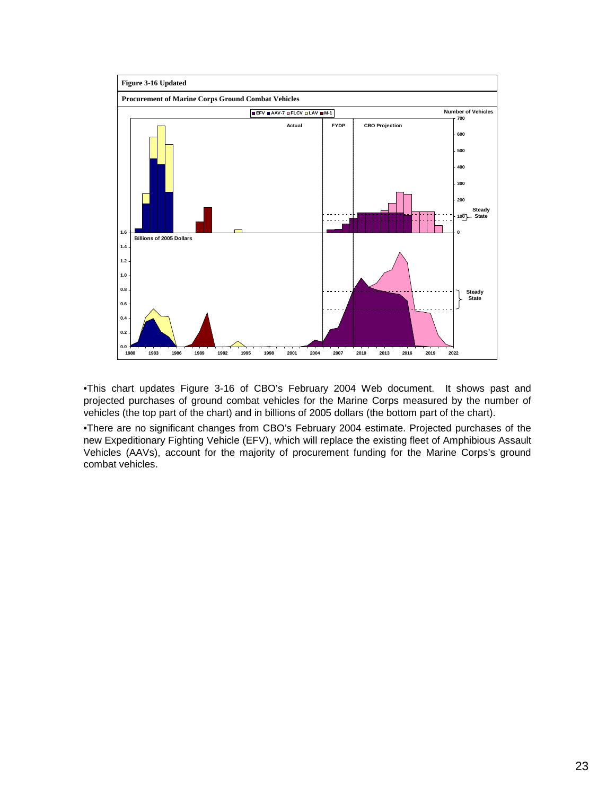

•This chart updates Figure 3-16 of CBO's February 2004 Web document. It shows past and projected purchases of ground combat vehicles for the Marine Corps measured by the number of vehicles (the top part of the chart) and in billions of 2005 dollars (the bottom part of the chart).

•There are no significant changes from CBO's February 2004 estimate. Projected purchases of the new Expeditionary Fighting Vehicle (EFV), which will replace the existing fleet of Amphibious Assault Vehicles (AAVs), account for the majority of procurement funding for the Marine Corps's ground combat vehicles.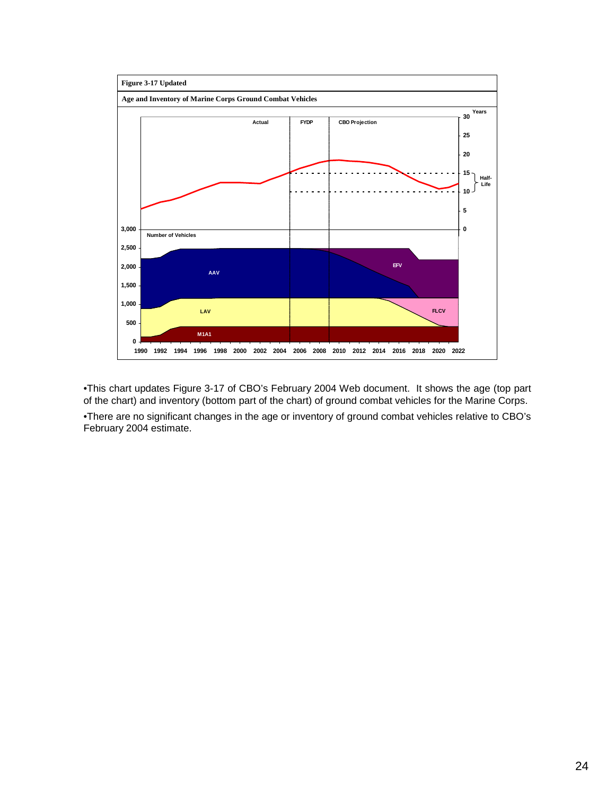

•This chart updates Figure 3-17 of CBO's February 2004 Web document. It shows the age (top part of the chart) and inventory (bottom part of the chart) of ground combat vehicles for the Marine Corps.

•There are no significant changes in the age or inventory of ground combat vehicles relative to CBO's February 2004 estimate.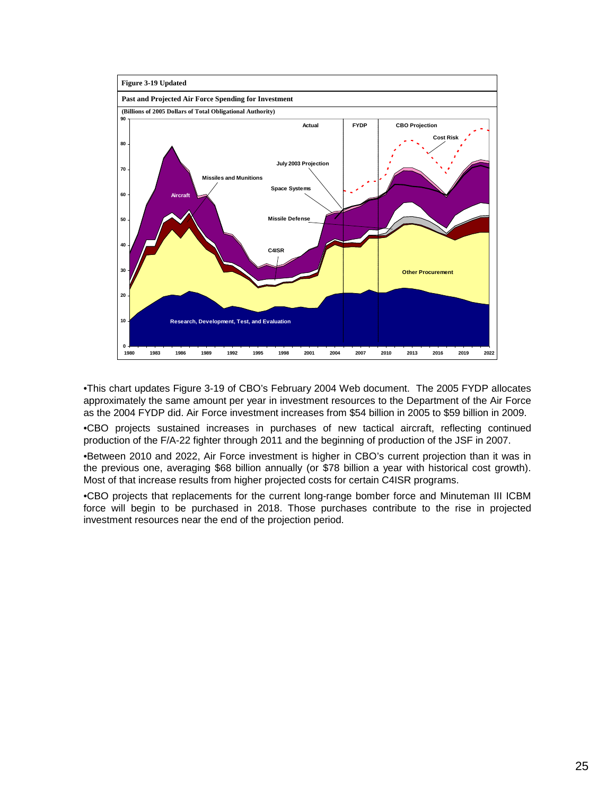

•This chart updates Figure 3-19 of CBO's February 2004 Web document. The 2005 FYDP allocates approximately the same amount per year in investment resources to the Department of the Air Force as the 2004 FYDP did. Air Force investment increases from \$54 billion in 2005 to \$59 billion in 2009.

•CBO projects sustained increases in purchases of new tactical aircraft, reflecting continued production of the F/A-22 fighter through 2011 and the beginning of production of the JSF in 2007.

•Between 2010 and 2022, Air Force investment is higher in CBO's current projection than it was in the previous one, averaging \$68 billion annually (or \$78 billion a year with historical cost growth). Most of that increase results from higher projected costs for certain C4ISR programs.

•CBO projects that replacements for the current long-range bomber force and Minuteman III ICBM force will begin to be purchased in 2018. Those purchases contribute to the rise in projected investment resources near the end of the projection period.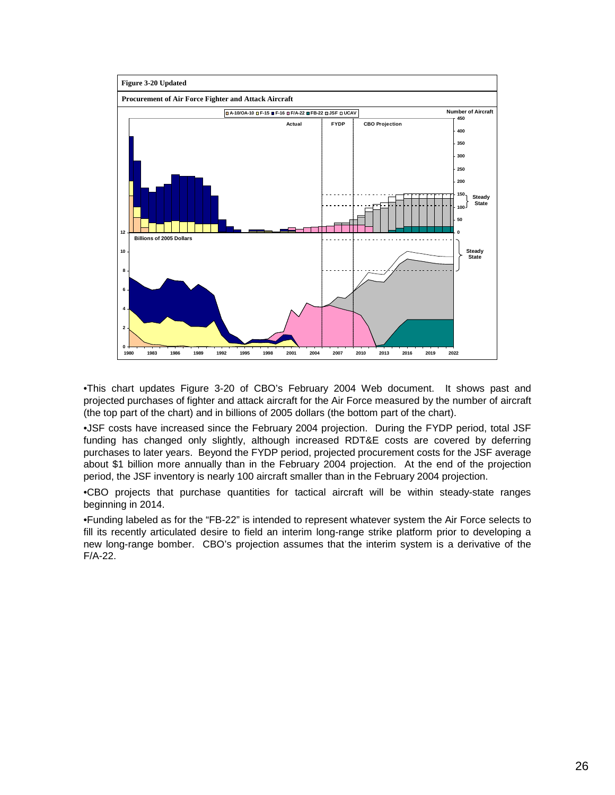

•This chart updates Figure 3-20 of CBO's February 2004 Web document. It shows past and projected purchases of fighter and attack aircraft for the Air Force measured by the number of aircraft (the top part of the chart) and in billions of 2005 dollars (the bottom part of the chart).

•JSF costs have increased since the February 2004 projection. During the FYDP period, total JSF funding has changed only slightly, although increased RDT&E costs are covered by deferring purchases to later years. Beyond the FYDP period, projected procurement costs for the JSF average about \$1 billion more annually than in the February 2004 projection. At the end of the projection period, the JSF inventory is nearly 100 aircraft smaller than in the February 2004 projection.

•CBO projects that purchase quantities for tactical aircraft will be within steady-state ranges beginning in 2014.

•Funding labeled as for the "FB-22" is intended to represent whatever system the Air Force selects to fill its recently articulated desire to field an interim long-range strike platform prior to developing a new long-range bomber. CBO's projection assumes that the interim system is a derivative of the F/A-22.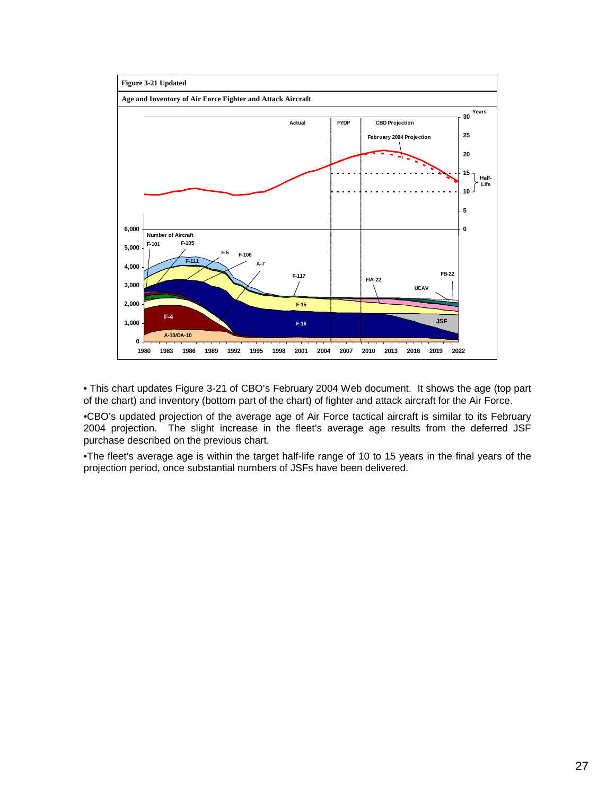

• This chart updates Figure 3-21 of CBO's February 2004 Web document. It shows the age (top part of the chart) and inventory (bottom part of the chart) of fighter and attack aircraft for the Air Force.

•CBO's updated projection of the average age of Air Force tactical aircraft is similar to its February 2004 projection. The slight increase in the fleet's average age results from the deferred JSF purchase described on the previous chart.

•The fleet's average age is within the target half-life range of 10 to 15 years in the final years of the projection period, once substantial numbers of JSFs have been delivered.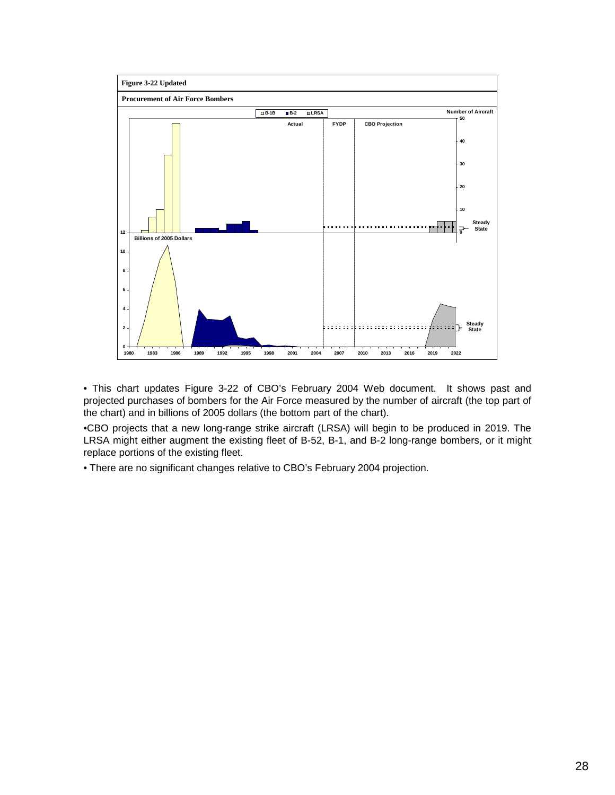

• This chart updates Figure 3-22 of CBO's February 2004 Web document. It shows past and projected purchases of bombers for the Air Force measured by the number of aircraft (the top part of the chart) and in billions of 2005 dollars (the bottom part of the chart).

•CBO projects that a new long-range strike aircraft (LRSA) will begin to be produced in 2019. The LRSA might either augment the existing fleet of B-52, B-1, and B-2 long-range bombers, or it might replace portions of the existing fleet.

• There are no significant changes relative to CBO's February 2004 projection.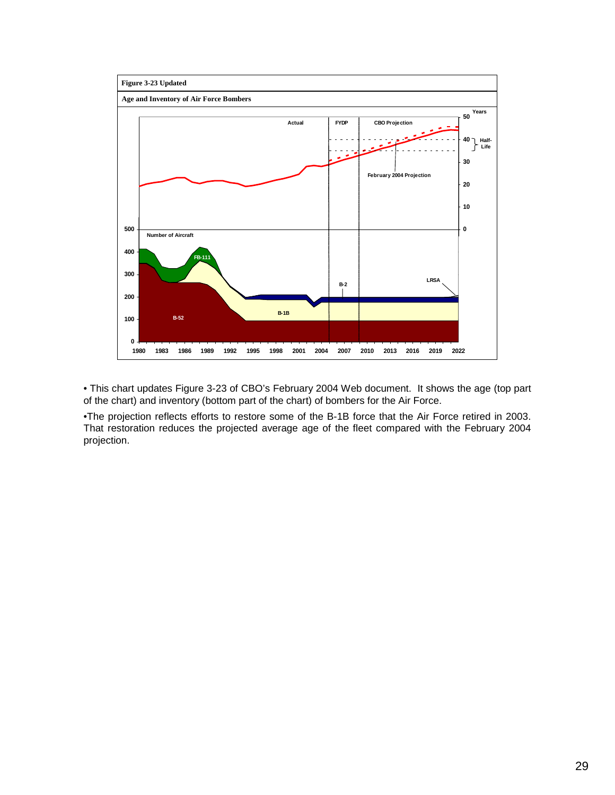

• This chart updates Figure 3-23 of CBO's February 2004 Web document. It shows the age (top part of the chart) and inventory (bottom part of the chart) of bombers for the Air Force.

•The projection reflects efforts to restore some of the B-1B force that the Air Force retired in 2003. That restoration reduces the projected average age of the fleet compared with the February 2004 projection.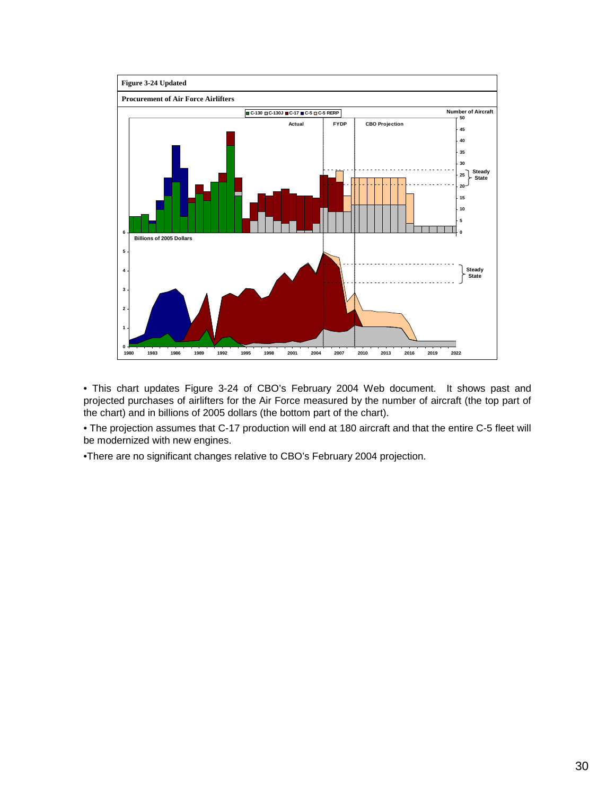

• This chart updates Figure 3-24 of CBO's February 2004 Web document. It shows past and projected purchases of airlifters for the Air Force measured by the number of aircraft (the top part of the chart) and in billions of 2005 dollars (the bottom part of the chart).

• The projection assumes that C-17 production will end at 180 aircraft and that the entire C-5 fleet will be modernized with new engines.

•There are no significant changes relative to CBO's February 2004 projection.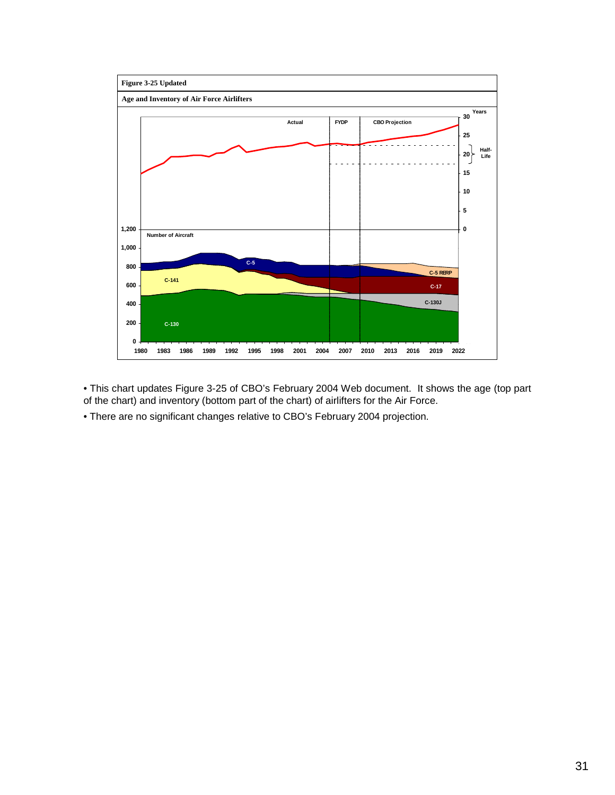

• This chart updates Figure 3-25 of CBO's February 2004 Web document. It shows the age (top part of the chart) and inventory (bottom part of the chart) of airlifters for the Air Force.

• There are no significant changes relative to CBO's February 2004 projection.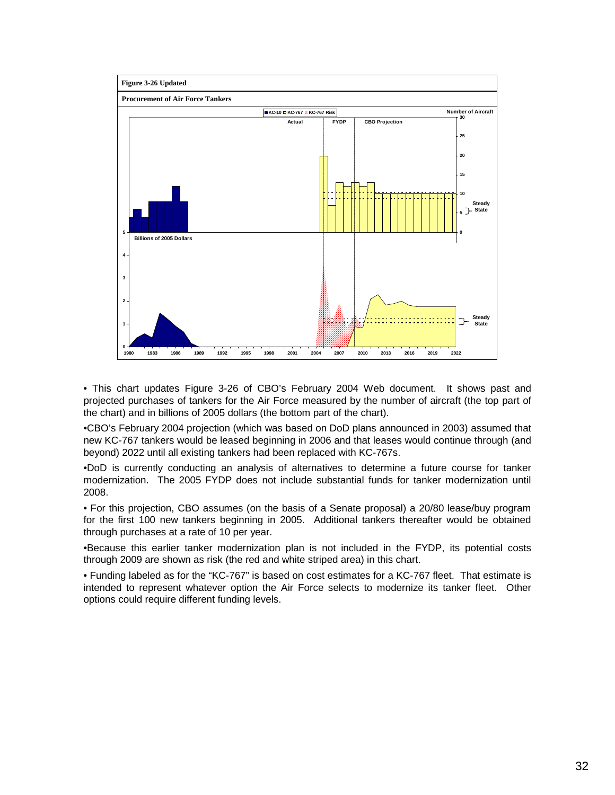

• This chart updates Figure 3-26 of CBO's February 2004 Web document. It shows past and projected purchases of tankers for the Air Force measured by the number of aircraft (the top part of the chart) and in billions of 2005 dollars (the bottom part of the chart).

•CBO's February 2004 projection (which was based on DoD plans announced in 2003) assumed that new KC-767 tankers would be leased beginning in 2006 and that leases would continue through (and beyond) 2022 until all existing tankers had been replaced with KC-767s.

•DoD is currently conducting an analysis of alternatives to determine a future course for tanker modernization. The 2005 FYDP does not include substantial funds for tanker modernization until 2008.

• For this projection, CBO assumes (on the basis of a Senate proposal) a 20/80 lease/buy program for the first 100 new tankers beginning in 2005. Additional tankers thereafter would be obtained through purchases at a rate of 10 per year.

•Because this earlier tanker modernization plan is not included in the FYDP, its potential costs through 2009 are shown as risk (the red and white striped area) in this chart.

• Funding labeled as for the "KC-767" is based on cost estimates for a KC-767 fleet. That estimate is intended to represent whatever option the Air Force selects to modernize its tanker fleet. Other options could require different funding levels.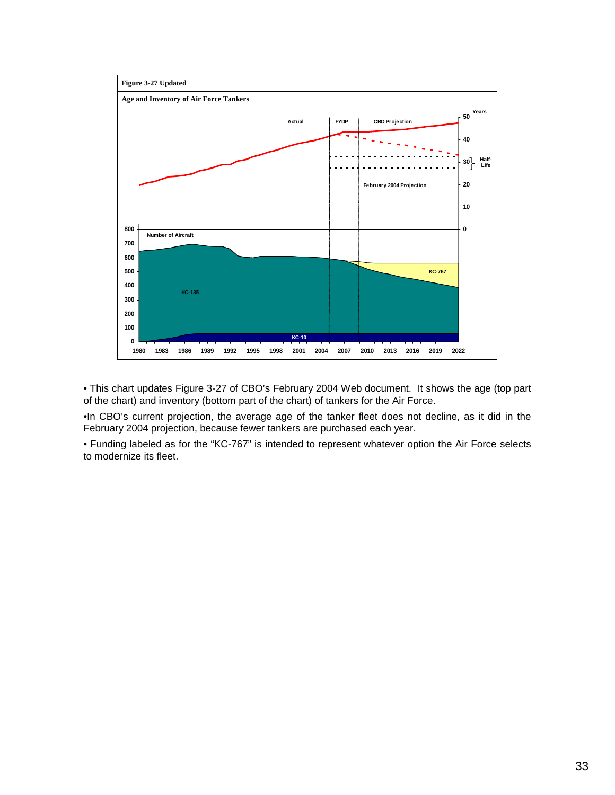

• This chart updates Figure 3-27 of CBO's February 2004 Web document. It shows the age (top part of the chart) and inventory (bottom part of the chart) of tankers for the Air Force.

•In CBO's current projection, the average age of the tanker fleet does not decline, as it did in the February 2004 projection, because fewer tankers are purchased each year.

• Funding labeled as for the "KC-767" is intended to represent whatever option the Air Force selects to modernize its fleet.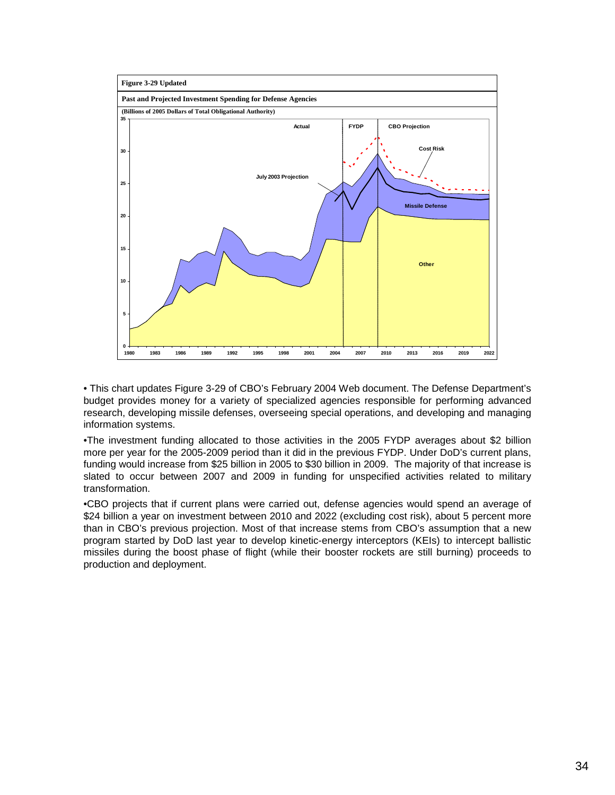

• This chart updates Figure 3-29 of CBO's February 2004 Web document. The Defense Department's budget provides money for a variety of specialized agencies responsible for performing advanced research, developing missile defenses, overseeing special operations, and developing and managing information systems.

•The investment funding allocated to those activities in the 2005 FYDP averages about \$2 billion more per year for the 2005-2009 period than it did in the previous FYDP. Under DoD's current plans, funding would increase from \$25 billion in 2005 to \$30 billion in 2009. The majority of that increase is slated to occur between 2007 and 2009 in funding for unspecified activities related to military transformation.

•CBO projects that if current plans were carried out, defense agencies would spend an average of \$24 billion a year on investment between 2010 and 2022 (excluding cost risk), about 5 percent more than in CBO's previous projection. Most of that increase stems from CBO's assumption that a new program started by DoD last year to develop kinetic-energy interceptors (KEIs) to intercept ballistic missiles during the boost phase of flight (while their booster rockets are still burning) proceeds to production and deployment.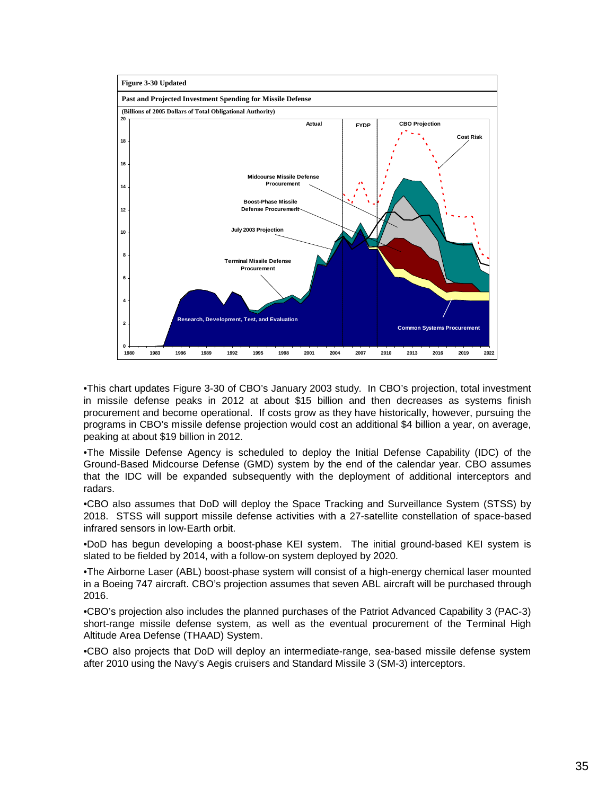

•This chart updates Figure 3-30 of CBO's January 2003 study. In CBO's projection, total investment in missile defense peaks in 2012 at about \$15 billion and then decreases as systems finish procurement and become operational. If costs grow as they have historically, however, pursuing the programs in CBO's missile defense projection would cost an additional \$4 billion a year, on average, peaking at about \$19 billion in 2012.

•The Missile Defense Agency is scheduled to deploy the Initial Defense Capability (IDC) of the Ground-Based Midcourse Defense (GMD) system by the end of the calendar year. CBO assumes that the IDC will be expanded subsequently with the deployment of additional interceptors and radars.

•CBO also assumes that DoD will deploy the Space Tracking and Surveillance System (STSS) by 2018. STSS will support missile defense activities with a 27-satellite constellation of space-based infrared sensors in low-Earth orbit.

•DoD has begun developing a boost-phase KEI system. The initial ground-based KEI system is slated to be fielded by 2014, with a follow-on system deployed by 2020.

•The Airborne Laser (ABL) boost-phase system will consist of a high-energy chemical laser mounted in a Boeing 747 aircraft. CBO's projection assumes that seven ABL aircraft will be purchased through 2016.

•CBO's projection also includes the planned purchases of the Patriot Advanced Capability 3 (PAC-3) short-range missile defense system, as well as the eventual procurement of the Terminal High Altitude Area Defense (THAAD) System.

•CBO also projects that DoD will deploy an intermediate-range, sea-based missile defense system after 2010 using the Navy's Aegis cruisers and Standard Missile 3 (SM-3) interceptors.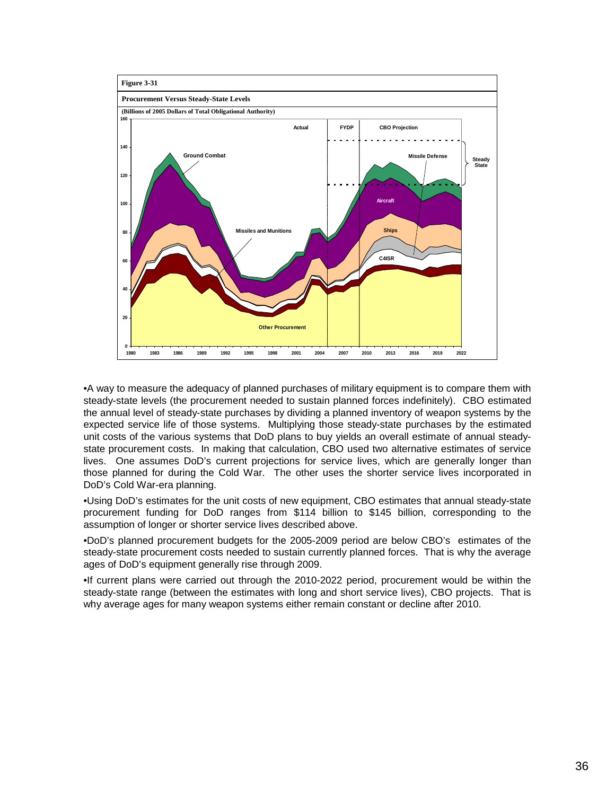

•A way to measure the adequacy of planned purchases of military equipment is to compare them with steady-state levels (the procurement needed to sustain planned forces indefinitely). CBO estimated the annual level of steady-state purchases by dividing a planned inventory of weapon systems by the expected service life of those systems. Multiplying those steady-state purchases by the estimated unit costs of the various systems that DoD plans to buy yields an overall estimate of annual steadystate procurement costs. In making that calculation, CBO used two alternative estimates of service lives. One assumes DoD's current projections for service lives, which are generally longer than those planned for during the Cold War. The other uses the shorter service lives incorporated in DoD's Cold War-era planning.

•Using DoD's estimates for the unit costs of new equipment, CBO estimates that annual steady-state procurement funding for DoD ranges from \$114 billion to \$145 billion, corresponding to the assumption of longer or shorter service lives described above.

•DoD's planned procurement budgets for the 2005-2009 period are below CBO's estimates of the steady-state procurement costs needed to sustain currently planned forces. That is why the average ages of DoD's equipment generally rise through 2009.

•If current plans were carried out through the 2010-2022 period, procurement would be within the steady-state range (between the estimates with long and short service lives), CBO projects. That is why average ages for many weapon systems either remain constant or decline after 2010.